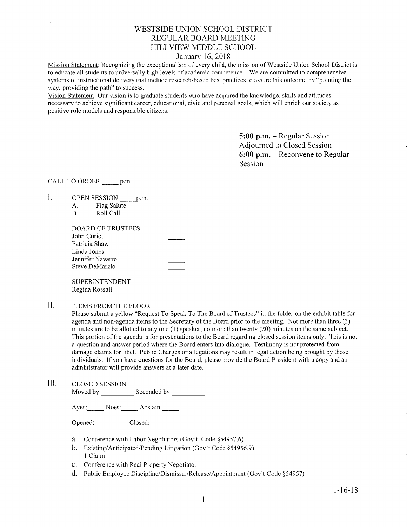## V/ESTSIDE UNION SCHOOL DISTRICT REGULAR BOARD MEETING HILLVIEW MIDDLE SCHOOL

### January 16,2018

Mission Statement: Recognizing the exceptionalism of every child, the mission of Westside Union School District is to educate all students to universally high levels of academic competence. We are committed to comprehensive systems of instructional delivery that include research-based best practices to assure this outcome by "pointing the way, providing the path" to success.

Vision Statement: Our vision is to graduate students who have acquired the knowledge, skills and attitudes necessary to achieve signihcant career, educational, civic and personal goals, which will enrich our society as positive role models and responsible citizens.

> 5:00 p.m. - Regular Session Adjourned to Closed Session 6:00 p.m. - Reconvene to Regular Session

CALL TO ORDER \_\_\_\_\_\_ p.m.

- $\mathbf{I}$ . OPEN SESSION p.m.
	- A. Flag Salute B. Roll Call
	-

| <b>BOARD OF TRUSTEES</b> |  |
|--------------------------|--|
| John Curiel              |  |
| Patricia Shaw            |  |
| Linda Jones              |  |
| Jennifer Navarro         |  |
| Steve DeMarzio           |  |
| <b>SUPERINTENDENT</b>    |  |

Regina Rossall

II. ITEMS FROM THE FLOOR

Please submit a yellow "Request To Speak To The Board of Trustees" in the folder on the exhibit table for agenda and non-agenda items to the Secretary of the Board prior to the meeting. Not more than three (3) minutes are to be allotted to any one (1) speaker, no more than twenty (20) minutes on the same subject. This portion of the agenda is for presentations to the Board regarding closed session items only. This is not a question and answer period where the Board enters into dialogue. Testimony is not protected from damage claims for libel. Public Charges or allegations may result in legal action being brought by those individuals. If you have questions for the Board, please provide the Board President with a copy and an administrator will provide answers at a later date.

Ш. CLOSED SESSION Moved by \_\_\_\_\_\_\_\_\_\_\_\_ Seconded by \_

Ayes: Noes: Abstain:

Opened: Closed:

- a. Conference with Labor Negotiators (Gov't. Code \$54957.6)
- b. Existing/Anticipated/Pending Litigation (Gov't Code §54956.9) 1 Claim
- c. Conference with Real Property Negotiator
- d. Public Employee Discipline/Dismissal/Release/Appointment (Gov't Code §54957)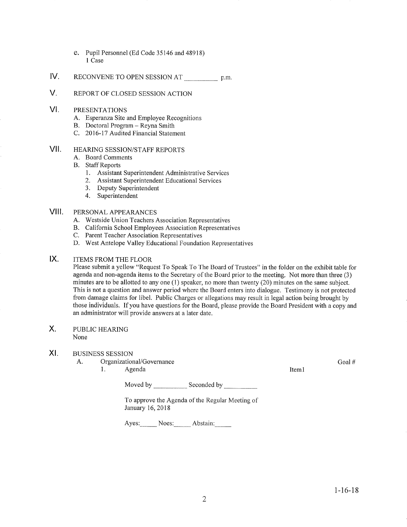- e. Pupil Personnel (Ed Code 35146 and 48918) I Case
- IV. RECONVENE TO OPEN SESSION AT p.m.
- V. REPORT OF CLOSED SESSION ACTION
- VI PRESENTATIONS
	- A. Esperanza Site and Employee Recognitions<br>B. Doctoral Program Reyna Smith<br>C. 2016-17 Audited Financial Statement
	-
	-
- HEARING SESSION/STAFF REPORTS vil
	- A. Board Comments
	- B. Staff Reports
		- 1. Assistant Superintendent Administrative Services<br>
		2. Assistant Superintendent Educational Services<br>
		3. Deputy Superintendent
		-
		-
		- 4. Superintendent

#### PERSONAL APPEARANCES vilt

- 
- A. Westside Union Teachers Association Representatives B. California School Employees Association Representatives C. Parent Teacher Association Representatives D. West Antelope Valley Educational Foundation Representatives
- 
- 

#### ITEMS FROM THE FLOOR IX

Please submit a yellow "Request To Speak To The Board of Trustees" in the folder on the exhibit table for agenda and non-agenda items to the Secretary of the Board prior to the meeting. Not more than three (3) minutes are to be allotted to any one (l) speaker, no more than twenty (20) minutes on the same subject. This is not a question and answer period where the Board enters into dialogue. Testimony is not protected from damage claims for libel. Public Charges or allegations may result in legal action being brought by those individuals. If you have questions for the Board, please provide the Board President with a copy and an administrator will provide answers at a later date.

#### PUBLIC HEARING X

None

#### XI BUSINESS SESSION

- A. Organizational/Governance l. Agenda
	-

Iteml

Moved by \_\_\_\_\_\_\_\_\_\_\_\_\_\_ Seconded by

To approve the Agenda of the Regular Meeting of January 16,2018

Ayes: Noes: Abstain:

Goal #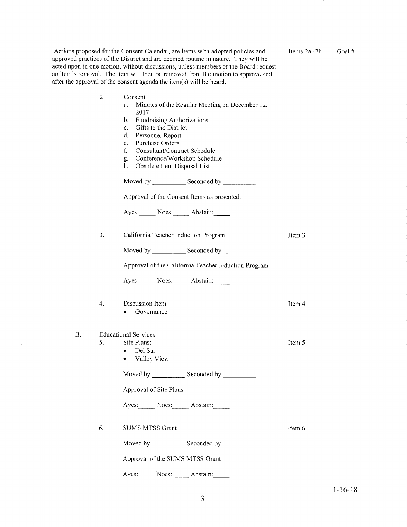| Actions proposed for the Consent Calendar, are items with adopted policies and     |
|------------------------------------------------------------------------------------|
| approved practices of the District and are deemed routine in nature. They will be  |
| acted upon in one motion, without discussions, unless members of the Board request |
| an item's removal. The item will then be removed from the motion to approve and    |
| after the approval of the consent agenda the item(s) will be heard.                |

 $\sim 300$ 

Items2a -2h Goal #

|    | 2. | Consent<br>Minutes of the Regular Meeting on December 12,<br>a.<br>2017<br><b>Fundraising Authorizations</b><br>b.<br>Gifts to the District<br>$c_{\cdot}$<br>d.<br>Personnel Report<br>Purchase Orders<br>e.<br>f.<br>Consultant/Contract Schedule<br>Conference/Workshop Schedule<br>g.<br>h.<br>Obsolete Item Disposal List |        |  |  |
|----|----|--------------------------------------------------------------------------------------------------------------------------------------------------------------------------------------------------------------------------------------------------------------------------------------------------------------------------------|--------|--|--|
|    |    | Moved by Seconded by Seconded by                                                                                                                                                                                                                                                                                               |        |  |  |
|    |    | Approval of the Consent Items as presented.                                                                                                                                                                                                                                                                                    |        |  |  |
|    |    | Ayes: Noes: Abstain:                                                                                                                                                                                                                                                                                                           |        |  |  |
|    | 3. | California Teacher Induction Program                                                                                                                                                                                                                                                                                           | Item 3 |  |  |
|    |    |                                                                                                                                                                                                                                                                                                                                |        |  |  |
|    |    | Approval of the California Teacher Induction Program                                                                                                                                                                                                                                                                           |        |  |  |
|    |    | Ayes: Noes: Abstain:                                                                                                                                                                                                                                                                                                           |        |  |  |
|    | 4. | Discussion Item<br>Governance                                                                                                                                                                                                                                                                                                  | Item 4 |  |  |
| В. |    | <b>Educational Services</b>                                                                                                                                                                                                                                                                                                    |        |  |  |
|    | 5. | Site Plans:                                                                                                                                                                                                                                                                                                                    | Item 5 |  |  |
|    |    | Del Sur<br>$\bullet$<br>Valley View<br>۰                                                                                                                                                                                                                                                                                       |        |  |  |
|    |    | Moved by Seconded by Seconded by                                                                                                                                                                                                                                                                                               |        |  |  |
|    |    | Approval of Site Plans                                                                                                                                                                                                                                                                                                         |        |  |  |
|    |    | Ayes: Noes: Abstain:                                                                                                                                                                                                                                                                                                           |        |  |  |
|    | 6. | <b>SUMS MTSS Grant</b>                                                                                                                                                                                                                                                                                                         | Item 6 |  |  |
|    |    | Moved by Seconded by                                                                                                                                                                                                                                                                                                           |        |  |  |
|    |    | Approval of the SUMS MTSS Grant                                                                                                                                                                                                                                                                                                |        |  |  |
|    |    | Noes: Abstain:<br>Ayes:                                                                                                                                                                                                                                                                                                        |        |  |  |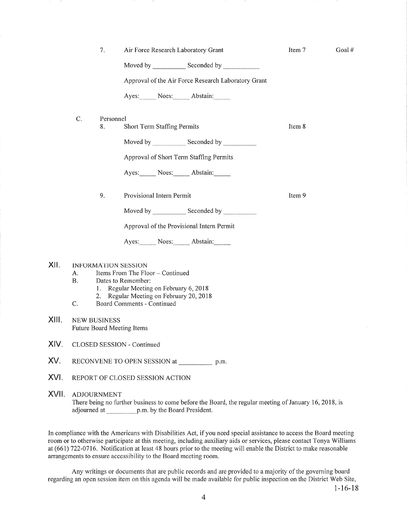|       |                                                                                                                                                   | 7.              | Air Force Research Laboratory Grant                 | Item 7 | Goal# |  |  |  |
|-------|---------------------------------------------------------------------------------------------------------------------------------------------------|-----------------|-----------------------------------------------------|--------|-------|--|--|--|
|       |                                                                                                                                                   |                 |                                                     |        |       |  |  |  |
|       |                                                                                                                                                   |                 | Approval of the Air Force Research Laboratory Grant |        |       |  |  |  |
|       |                                                                                                                                                   |                 | Ayes: Noes: Abstain:                                |        |       |  |  |  |
|       | C.                                                                                                                                                | Personnel<br>8. | Short Term Staffing Permits                         | Item 8 |       |  |  |  |
|       |                                                                                                                                                   |                 |                                                     |        |       |  |  |  |
|       |                                                                                                                                                   |                 |                                                     |        |       |  |  |  |
|       |                                                                                                                                                   |                 | Approval of Short Term Staffing Permits             |        |       |  |  |  |
|       |                                                                                                                                                   |                 | Ayes: Noes: Abstain:                                |        |       |  |  |  |
|       |                                                                                                                                                   | 9.              | Provisional Intern Permit                           | Item 9 |       |  |  |  |
|       |                                                                                                                                                   |                 | Moved by Seconded by                                |        |       |  |  |  |
|       |                                                                                                                                                   |                 |                                                     |        |       |  |  |  |
|       |                                                                                                                                                   |                 | Ayes: Noes: Abstain:                                |        |       |  |  |  |
| XII.  | <b>INFORMATION SESSION</b><br>Items From The Floor - Continued<br>А.<br><b>B.</b><br>Dates to Remember:<br>1. Regular Meeting on February 6, 2018 |                 |                                                     |        |       |  |  |  |
|       | Regular Meeting on February 20, 2018<br>2.<br>Board Comments - Continued<br>C.                                                                    |                 |                                                     |        |       |  |  |  |
| XIII. | <b>NEW BUSINESS</b><br>Future Board Meeting Items                                                                                                 |                 |                                                     |        |       |  |  |  |
| XIV.  | CLOSED SESSION - Continued                                                                                                                        |                 |                                                     |        |       |  |  |  |
| XV.   | RECONVENE TO OPEN SESSION at p.m.                                                                                                                 |                 |                                                     |        |       |  |  |  |
| XVI.  | REPORT OF CLOSED SESSION ACTION                                                                                                                   |                 |                                                     |        |       |  |  |  |

XVII. ADJOURNMENT There being no further business to come before the Board, the regular meeting of January 16, 2018, is adjourned at p.m. by the Board President.

In compliance with the Americans with Disabilities Act, if you need special assistance to access the Board meeting room or to otherwise participate at this meeting, including auxiliary aids or services, please contact Tonya Williams at (661) 722-0716. Notification at least 48 hours prior to the meeting will enable the District to make reasonable arrangements to ensure accessibility to the Board meeting room.

Any writings or documents that are public records and are provided to a majority of the governing board regarding an open session item on this agenda will be made available for public inspection on the District Web Site,

1-16-18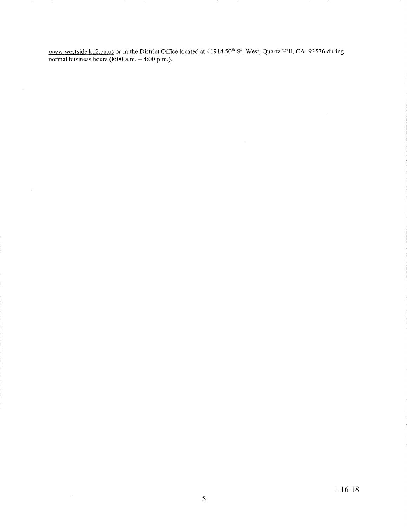www.westside.k12.ca.us or in the District Office located at 41914 50<sup>th</sup> St. West, Quartz Hill, CA 93536 during normal business hours (8:00 a.m. – 4:00 p.m.)

 $\bar{\mathcal{A}}$ 

 $\mathcal{A}$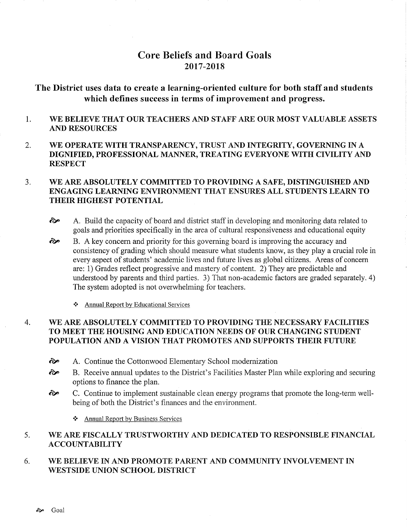# Core Beliefs and Board Goals 2017-20t8

# The District uses data to create a learning-oriented culture for both staff and students which defines success in terms of improvement and progress.

#### 1 WE BELIEVE THAT OUR TEACHERS AND STAFF ARE OUR MOST VALUABLE ASSETS AND RESOURCES

2. WE OPERATE WITH TRANSPARENCY, TRUST AND INTEGRITY, GOVERNING IN A DIGNIFIED, PROFESSIONAL MANNER, TREATING EVERYONE WITH CIVILITY AND **RESPECT** 

#### 3. WE ARE ABSOLUTELY COMMITTED TO PROVIDING A SAFE, DISTINGUISHED AND ENGAGING LEARNING ENVIRONMENT THAT ENSURES ALL STUDENTS LEARN TO THEIR HIGHEST POTENTIAL

- $\leftrightarrow$  A. Build the capacity of board and district staff in developing and monitoring data related to goals and priorities specifically in the area of cultural responsiveness and educational equity
- B. A key concern and priority for this governing board is improving the accuracy and consistency of grading which should measure what students know, as they play a crucial role in every aspect of students' academic lives and future lives as global citizens. Areas of concern are: 1) Grades reflect progressive and mastery of content. 2) They are predictable and understood by parents and third parties. 3) That non-academic factors are graded separately. 4) The system adopted is not overwhelming for teachers. ôp
	- \* Annual Report by Educational Services

#### 4. WE ARE ABSOLUTELY COMMITTED TO PROVIDING THE NECESSARY FACILITIES TO MEET THE HOUSING AND EDUCATION NEEDS OF OUR CHANGING STUDENT POPULATION AND A VISION THAT PROMOTES AND SUPPORTS THEIR FUTURE

- èp A. Continue the Cottonwood Elementary School modernization
- èp B. Receive annual updates to the District's Facilities Master Plan while exploring and securing options to finance the plan.<br> **EXE** C. Continue to implement sustainable clean energy programs that promote the long-term well-
- being of both the District's finances and the environment.
	- \* Annual Report bv Business Services

#### 5 WE ARE FISCALLY TRUSTWORTHY AND DEDICATED TO RESPONSIBLE FINANCIAL ACCOUNTABILITY

#### 6. WE BELIEVE IN AND PROMOTE PARENT AND COMMUNITY INVOLVEMENT IN WESTSIDE UNION SCHOOL DISTRICT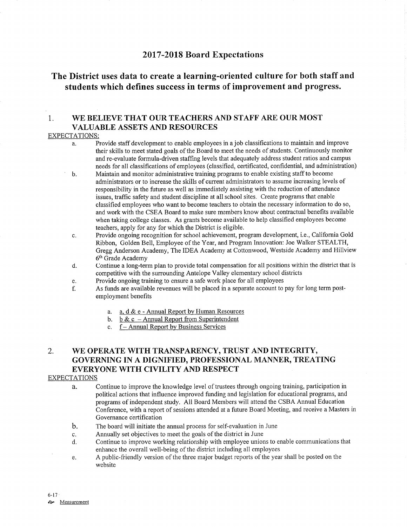## <sup>2017</sup>-2018 Board Expectations

# The District uses data to create a learning-oriented culture for both staff and students which defines success in terms of improvement and progress.

## 1. WE BELIEVE THAT OUR TEACHERS AND STAFF ARE OUR MOST VALUABLE ASSETS AND RESOURCES

### EXPECTATIONS:

- a. Provide staff development to enable employees in a job classifications to maintain and improve their skills to meet stated goals of the Board to meet the needs of sfudents. Continuously monitor and re-evaluate formula-driven staffing levels that adequately address student ratios and campus needs for all classifications of employees (classified, certificated, confidential, and administration)
- b. Maintain and monitor administrative training programs to enable existing staff to become administrators or to increase the skills of current administrators to assume increasing levels of responsibility in the future as well as immediately assisting with the reduction of attendance issues, traffic safety and student discipline at all school sites. Create programs that enable classified employees who want to become teachers to obtain the necessary information to do so, and work with the CSEA Board to make sure members know about contractual benefits available when taking college classes. As grants become available to help classified employees become teachers, apply for any for which the District is eligible.
- c. Provide ongoing recognition for school achievement, program development, i.e., California Gold Ribbon, Golden Bell, Employee of the Year, and Program Innovation: Joe Walker STEALTH, Gregg Anderson Academy, The IDEA Academy at Cottonwood, Westside Academy and Hillview 6<sup>th</sup> Grade Academy
- d. Continue a long-term plan to provide total compensation for all positions within the district that is competitive with the surrounding Antelope Valley elementary school districts
- 
- e. Provide ongoing training to ensure a safe work place for all employees f. As funds are available revenues will be placed in a separate account to pay for long term postemployment benefits
	- a. a. d & e Annual Report by Human Resources<br>b. b & c Annual Report from Superintendent<br>c. f Annual Report by Business Services
	-
	-

## 2. WE OPERATE WITH TRANSPARENCY, TRUST AND INTEGRITY, GOVERNING IN A DIGNIFIED, PROFESSIONAL MANNER, TREATING EVERYONE WITH CIVILITY AND RESPECT

### EXPECTATIONS

- à. Continue to improve the knowledge level of trustees through ongoing training, participation in political actions that influence improved funding and legislation for educational programs, and programs of independent study. All Board Members will attend the CSBA Annual Education Conference, with a report of sessions attended at a future Board Meeting, and receive a Masters in Governance certification
- The board will initiate the annual process for self-evaluation in June b.
- Annually set objectives to meet the goals of the district in June c.
- Continue to improve working relationship with employee unions to enable communications that enhance the overall well-being of the district including all employees d.
- A public-friendly version of the three major budget reports of the year shall be posted on the e. website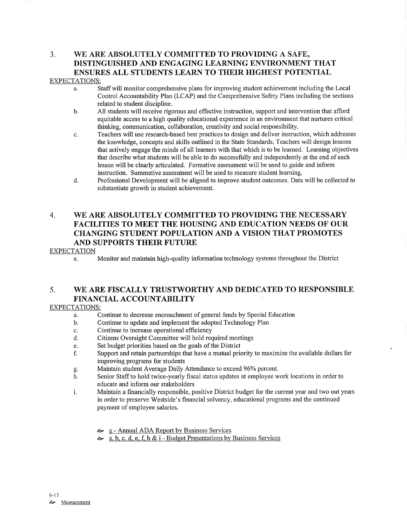## 3. WE ARE ABSOLUTELY COMMITTED TO PROVIDING A SAFE, DISTINGUISHED AND ENGAGING LEARNING ENVIRONMENT THAT ENSURES ALL STUDENTS LEARN TO THEIR HIGHEST POTENTIAL EXPECTATIONS:

- a. Staff will monitor comprehensive plans for improving student achievement including the Local Control Accountability Plan (LCAP) and the Comprehensive Safety Plans including the sections related to student discipline.<br>b. All students will receive rigorous and effective instruction, support and intervention that afford
- equitable access to a high quality educational experience in an environment that nurtures critical thinking, communication, collaboration, creativity and social responsibility.
- c. Teachers will use research-based best practices to design and deliver instruction, which addresses the knowledge, concepts and skills outlined in the State Standards. Teachers will design lessons that actively engage the minds of all learners with that which is to be leamed. Leaming objectives that describe what students will be able to do successfully and independently at the end of each lesson will be clearly articulated. Formative assessment will be used to guide and inform instruction. Summative assessment will be used to measure sfudent leaming.
- d. Professional Development will be aligned to improve student outcomes. Data will be collected to substantiate growth in student achievement.

## 4. WE ARE ABSOLUTELY COMMITTED TO PROVIDING THE NECESSARY FACILITIES TO MEET THE HOUSING AND EDUCATION NEEDS OF OUR CHANGING STUDENT POPULATION AND A VISION THAT PROMOTES AND SUPPORTS THEIR FUTURE

### EXPECTATION

a. Monitor and maintain high-quality information technology systems throughout the District

## 5. WE ARE FISCALLY TRUSTWORTHY AND DEDICATED TO RESPONSIBLE FINANCIAL ACCOUNTABILITY

### EXPECTATIONS:

- a. Continue to decrease encroachment of general funds by Special Education
- b. Continue to update and implement the adopted Technology Plan
- 
- c. Continue to increase operational efficiency<br>d. Citizens Oversight Committee will hold required meetings
- 
- e. Set budget priorities based on the goals of the District files is started in Support and retain partnerships that have a mutual priority to maximize the available dollars for
- improving programs for students<br>Maintain student Average Daily Attendance to exceed 96% percent.
- g. Maintain student Average Daily Attendance to exceed 96% percent.<br>
h. Senior Staff to hold twice-yearly fiscal status updates at employee work locations in order to educate and inform our stakeholders
- i. Maintain a financially responsible, positive District budget for the current year and two out years in order to preserve Westside's financial solvency, educational programs and the continued payment of employee salaries.
	-
	- $\approx$  g Annual ADA Report by Business Services<br> $\approx$  a, b, c, d, e, f, h & i Budget Presentations by Business Services